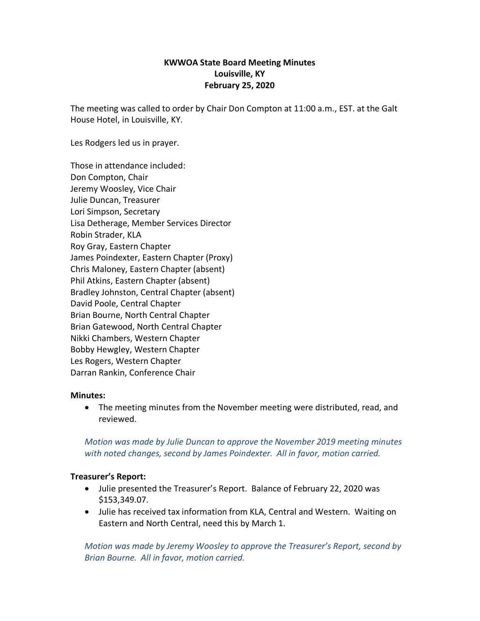## **KWWOA State Board Meeting Minutes Louisville, KY February 25, 2020**

The meeting was called to order by Chair Don Compton at 11:00 a.m., EST. at the Galt House Hotel, in Louisville, KY.

Les Rodgers led us in prayer.

Those in attendance included: Don Compton, Chair Jeremy Woosley, Vice Chair Julie Duncan, Treasurer Lori Simpson, Secretary Lisa Detherage, Member Services Director Robin Strader, KLA Roy Gray, Eastern Chapter James Poindexter, Eastern Chapter (Proxy) Chris Maloney, Eastern Chapter (absent) Phil Atkins, Eastern Chapter (absent) Bradley Johnston, Central Chapter (absent) David Poole, Central Chapter Brian Bourne, North Central Chapter Brian Gatewood, North Central Chapter Nikki Chambers, Western Chapter Bobby Hewgley, Western Chapter Les Rogers, Western Chapter Darran Rankin, Conference Chair

### **Minutes:**

• The meeting minutes from the November meeting were distributed, read, and reviewed.

*Motion was made by Julie Duncan to approve the November 2019 meeting minutes with noted changes, second by James Poindexter. All in favor, motion carried.* 

### **Treasurer's Report:**

- Julie presented the Treasurer's Report. Balance of February 22, 2020 was \$153,349.07.
- Julie has received tax information from KLA, Central and Western. Waiting on Eastern and North Central, need this by March 1.

*Motion was made by Jeremy Woosley to approve the Treasurer's Report, second by Brian Bourne. All in favor, motion carried.*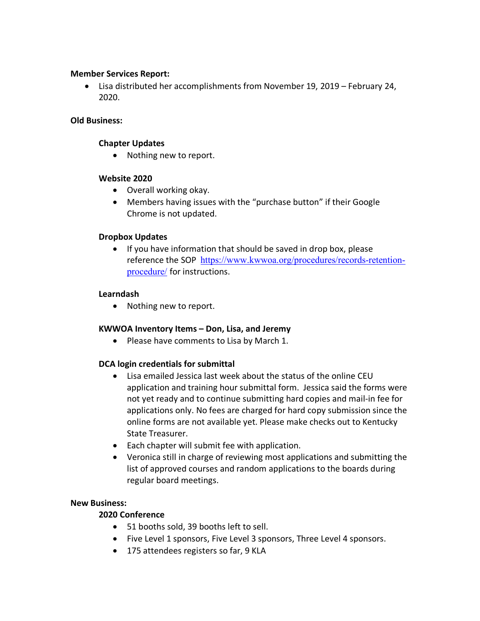### **Member Services Report:**

• Lisa distributed her accomplishments from November 19, 2019 – February 24, 2020.

#### **Old Business:**

#### **Chapter Updates**

• Nothing new to report.

### **Website 2020**

- Overall working okay.
- Members having issues with the "purchase button" if their Google Chrome is not updated.

### **Dropbox Updates**

• If you have information that should be saved in drop box, please reference the SOP [https://www.kwwoa.org/procedures/records-retention](https://www.kwwoa.org/procedures/records-retention-procedure/)[procedure/](https://www.kwwoa.org/procedures/records-retention-procedure/) for instructions.

### **Learndash**

• Nothing new to report.

### **KWWOA Inventory Items – Don, Lisa, and Jeremy**

• Please have comments to Lisa by March 1.

## **DCA login credentials for submittal**

- Lisa emailed Jessica last week about the status of the online CEU application and training hour submittal form. Jessica said the forms were not yet ready and to continue submitting hard copies and mail-in fee for applications only. No fees are charged for hard copy submission since the online forms are not available yet. Please make checks out to Kentucky State Treasurer.
- Each chapter will submit fee with application.
- Veronica still in charge of reviewing most applications and submitting the list of approved courses and random applications to the boards during regular board meetings.

### **New Business:**

# **2020 Conference**

- 51 booths sold, 39 booths left to sell.
- Five Level 1 sponsors, Five Level 3 sponsors, Three Level 4 sponsors.
- 175 attendees registers so far, 9 KLA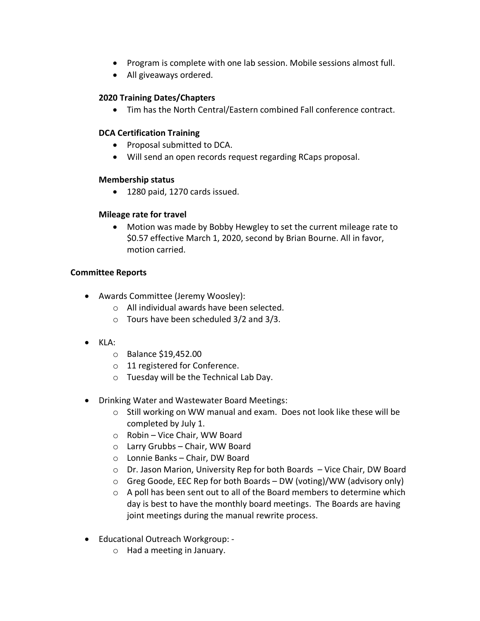- Program is complete with one lab session. Mobile sessions almost full.
- All giveaways ordered.

## **2020 Training Dates/Chapters**

• Tim has the North Central/Eastern combined Fall conference contract.

## **DCA Certification Training**

- Proposal submitted to DCA.
- Will send an open records request regarding RCaps proposal.

## **Membership status**

• 1280 paid, 1270 cards issued.

## **Mileage rate for travel**

• Motion was made by Bobby Hewgley to set the current mileage rate to \$0.57 effective March 1, 2020, second by Brian Bourne. All in favor, motion carried.

## **Committee Reports**

- Awards Committee (Jeremy Woosley):
	- o All individual awards have been selected.
	- o Tours have been scheduled 3/2 and 3/3.
- KLA:
	- o Balance \$19,452.00
	- o 11 registered for Conference.
	- o Tuesday will be the Technical Lab Day.
- Drinking Water and Wastewater Board Meetings:
	- o Still working on WW manual and exam. Does not look like these will be completed by July 1.
	- o Robin Vice Chair, WW Board
	- o Larry Grubbs Chair, WW Board
	- o Lonnie Banks Chair, DW Board
	- o Dr. Jason Marion, University Rep for both Boards Vice Chair, DW Board
	- o Greg Goode, EEC Rep for both Boards DW (voting)/WW (advisory only)
	- o A poll has been sent out to all of the Board members to determine which day is best to have the monthly board meetings. The Boards are having joint meetings during the manual rewrite process.
- Educational Outreach Workgroup:
	- o Had a meeting in January.